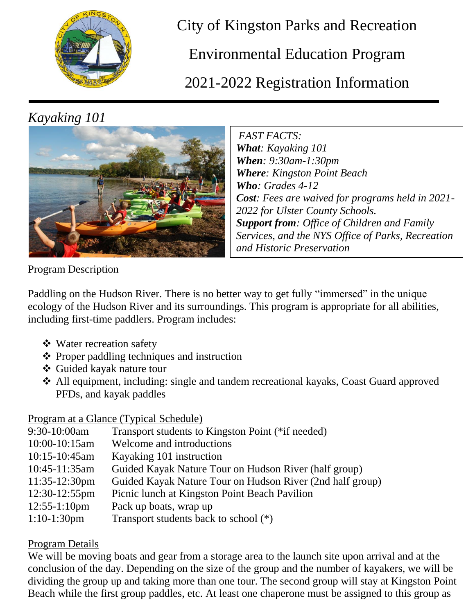

City of Kingston Parks and Recreation

Environmental Education Program

2021-2022 Registration Information

## *Kayaking 101*



*FAST FACTS: What: Kayaking 101 When: 9:30am-1:30pm Where: Kingston Point Beach Who: Grades 4-12 Cost: Fees are waived for programs held in 2021- 2022 for Ulster County Schools. Support from: Office of Children and Family Services, and the NYS Office of Parks, Recreation and Historic Preservation*

Program Description

Paddling on the Hudson River. There is no better way to get fully "immersed" in the unique ecology of the Hudson River and its surroundings. This program is appropriate for all abilities, including first-time paddlers. Program includes:

- Water recreation safety
- $\triangle$  Proper paddling techniques and instruction
- Guided kayak nature tour
- All equipment, including: single and tandem recreational kayaks, Coast Guard approved PFDs, and kayak paddles

## Program at a Glance (Typical Schedule)

| 9:30-10:00am    | Transport students to Kingston Point (*if needed)         |
|-----------------|-----------------------------------------------------------|
| 10:00-10:15am   | Welcome and introductions                                 |
| 10:15-10:45am   | Kayaking 101 instruction                                  |
| 10:45-11:35am   | Guided Kayak Nature Tour on Hudson River (half group)     |
| 11:35-12:30pm   | Guided Kayak Nature Tour on Hudson River (2nd half group) |
| 12:30-12:55pm   | Picnic lunch at Kingston Point Beach Pavilion             |
| $12:55-1:10$ pm | Pack up boats, wrap up                                    |
| $1:10-1:30$ pm  | Transport students back to school $(*)$                   |

## Program Details

We will be moving boats and gear from a storage area to the launch site upon arrival and at the conclusion of the day. Depending on the size of the group and the number of kayakers, we will be dividing the group up and taking more than one tour. The second group will stay at Kingston Point Beach while the first group paddles, etc. At least one chaperone must be assigned to this group as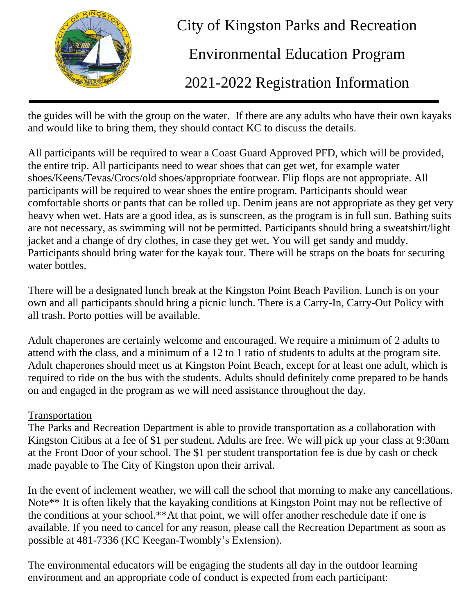

City of Kingston Parks and Recreation

Environmental Education Program

2021-2022 Registration Information

the guides will be with the group on the water. If there are any adults who have their own kayaks and would like to bring them, they should contact KC to discuss the details.

All participants will be required to wear a Coast Guard Approved PFD, which will be provided, the entire trip. All participants need to wear shoes that can get wet, for example water shoes/Keens/Tevas/Crocs/old shoes/appropriate footwear. Flip flops are not appropriate. All participants will be required to wear shoes the entire program. Participants should wear comfortable shorts or pants that can be rolled up. Denim jeans are not appropriate as they get very heavy when wet. Hats are a good idea, as is sunscreen, as the program is in full sun. Bathing suits are not necessary, as swimming will not be permitted. Participants should bring a sweatshirt/light jacket and a change of dry clothes, in case they get wet. You will get sandy and muddy. Participants should bring water for the kayak tour. There will be straps on the boats for securing water bottles.

There will be a designated lunch break at the Kingston Point Beach Pavilion. Lunch is on your own and all participants should bring a picnic lunch. There is a Carry-In, Carry-Out Policy with all trash. Porto potties will be available.

Adult chaperones are certainly welcome and encouraged. We require a minimum of 2 adults to attend with the class, and a minimum of a 12 to 1 ratio of students to adults at the program site. Adult chaperones should meet us at Kingston Point Beach, except for at least one adult, which is required to ride on the bus with the students. Adults should definitely come prepared to be hands on and engaged in the program as we will need assistance throughout the day.

## Transportation

The Parks and Recreation Department is able to provide transportation as a collaboration with Kingston Citibus at a fee of \$1 per student. Adults are free. We will pick up your class at 9:30am at the Front Door of your school. The \$1 per student transportation fee is due by cash or check made payable to The City of Kingston upon their arrival.

In the event of inclement weather, we will call the school that morning to make any cancellations. Note\*\* It is often likely that the kayaking conditions at Kingston Point may not be reflective of the conditions at your school.\*\*At that point, we will offer another reschedule date if one is available. If you need to cancel for any reason, please call the Recreation Department as soon as possible at 481-7336 (KC Keegan-Twombly's Extension).

The environmental educators will be engaging the students all day in the outdoor learning environment and an appropriate code of conduct is expected from each participant: